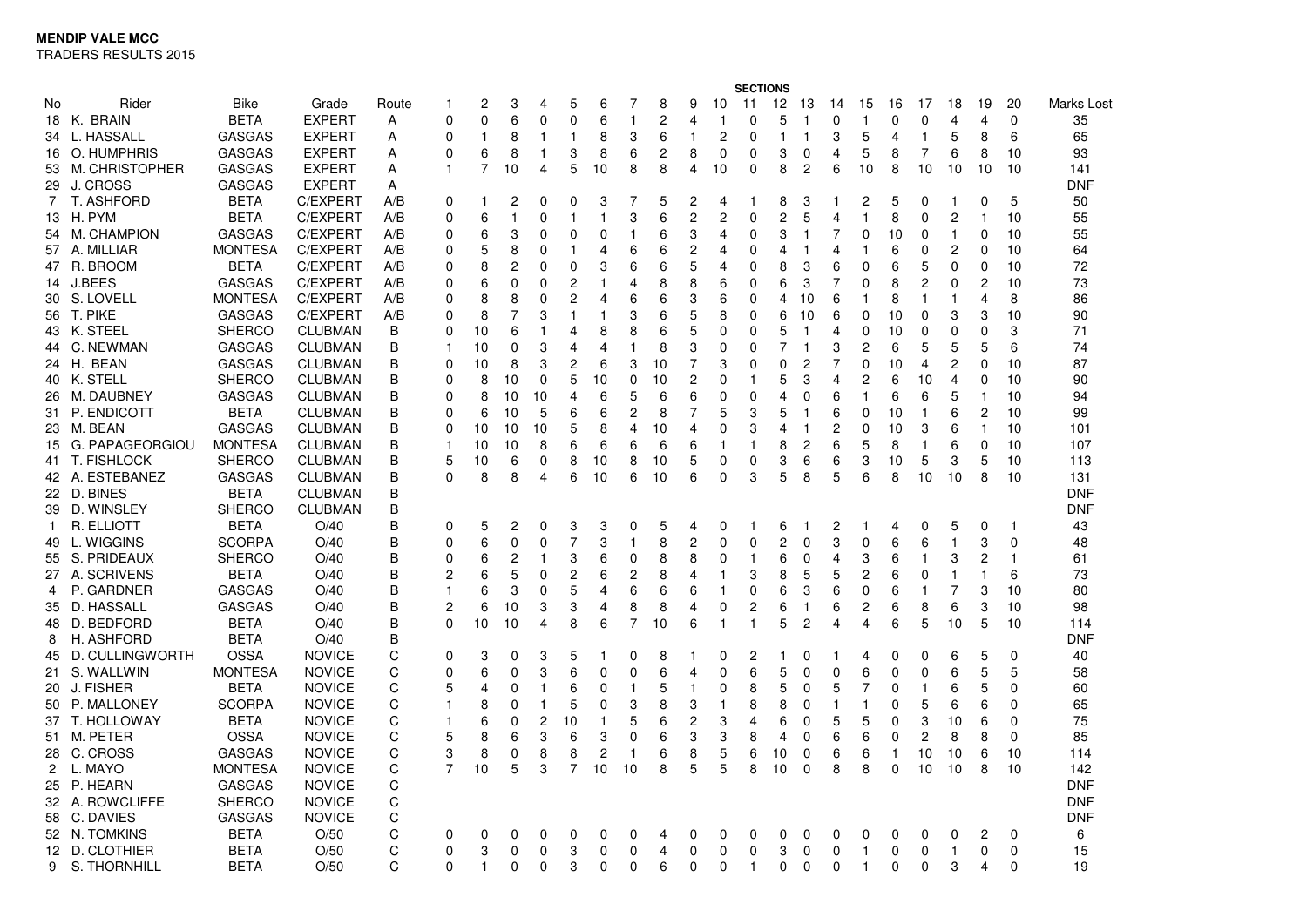TRADERS RESULTS 2015

|              |                    |                |                |       |          |              |             |                |                |    |                | <b>SECTIONS</b> |                |                |             |    |                |                |                         |    |              |                |                |                |            |
|--------------|--------------------|----------------|----------------|-------|----------|--------------|-------------|----------------|----------------|----|----------------|-----------------|----------------|----------------|-------------|----|----------------|----------------|-------------------------|----|--------------|----------------|----------------|----------------|------------|
| No           | Rider              | <b>Bike</b>    | Grade          | Route | 1        | 2            | 3           | 4              | 5              | 6  |                | 8               | 9              | 10             | 11          | 12 | 13             | 14             | 15                      | 16 | 17           | 18             | 19             | 20             | Marks Lost |
|              | 18 K. BRAIN        | <b>BETA</b>    | <b>EXPERT</b>  | Α     | 0        | 0            | 6           | $\Omega$       | $\mathbf 0$    | 6  | 1              | $\overline{c}$  | 4              | 1              | 0           | 5  | 1              | $\Omega$       | 1                       | 0  | 0            | 4              | 4              | 0              | 35         |
|              | 34 L. HASSALL      | <b>GASGAS</b>  | <b>EXPERT</b>  | Α     | 0        | $\mathbf 1$  | 8           | 1              | $\mathbf{1}$   | 8  | 3              | 6               | $\mathbf{1}$   | 2              | 0           | 1  | 1              | 3              | 5                       | 4  | 1            | 5              | 8              | 6              | 65         |
|              | 16 O. HUMPHRIS     | <b>GASGAS</b>  | <b>EXPERT</b>  | Α     | 0        | 6            | 8           | 1              | 3              | 8  | 6              | $\overline{c}$  | 8              | 0              | 0           | 3  | 0              | $\overline{4}$ | 5                       | 8  | 7            | 6              | 8              | 10             | 93         |
|              | 53 M. CHRISTOPHER  | <b>GASGAS</b>  | <b>EXPERT</b>  | A     | 1        | 7            | 10          | 4              | 5              | 10 | 8              | 8               | 4              | 10             | $\Omega$    | 8  | $\overline{c}$ | 6              | 10                      | 8  | 10           | 10             | 10             | 10             | 141        |
|              | 29 J. CROSS        | <b>GASGAS</b>  | <b>EXPERT</b>  | Α     |          |              |             |                |                |    |                |                 |                |                |             |    |                |                |                         |    |              |                |                |                | <b>DNF</b> |
| 7            | T. ASHFORD         | <b>BETA</b>    | C/EXPERT       | A/B   | 0        |              | 2           | 0              | 0              | 3  | 7              | 5               | 2              | 4              |             | 8  | 3              |                | 2                       | 5  | 0            | 1              | 0              | 5              | 50         |
|              | 13 H. PYM          | <b>BETA</b>    | C/EXPERT       | A/B   | $\Omega$ | 6            |             | $\Omega$       | $\overline{1}$ | 1  | 3              | 6               | $\overline{c}$ | $\overline{c}$ | $\Omega$    | 2  | 5              | $\overline{4}$ | 1                       | 8  | 0            | $\overline{c}$ | $\mathbf{1}$   | 10             | 55         |
|              | 54 M. CHAMPION     | <b>GASGAS</b>  | C/EXPERT       | A/B   | 0        | 6            | 3           | 0              | $\mathbf 0$    | 0  | 1              | 6               | 3              | 4              | $\mathbf 0$ | 3  | $\mathbf{1}$   | $\overline{7}$ | $\mathbf 0$             | 10 | 0            | 1              | $\Omega$       | 10             | 55         |
|              | 57 A. MILLIAR      | <b>MONTESA</b> | C/EXPERT       | A/B   | 0        | 5            | 8           | 0              | 1              | 4  | 6              | 6               | $\overline{c}$ | 4              | 0           | 4  | 1              | 4              |                         | 6  | 0            | $\overline{c}$ | $\Omega$       | 10             | 64         |
|              | 47 R. BROOM        | <b>BETA</b>    | C/EXPERT       | A/B   | 0        | 8            | 2           | $\Omega$       | $\mathbf 0$    | 3  | 6              | 6               | 5              | 4              | 0           | 8  | 3              | 6              | $\Omega$                | 6  | 5            | $\Omega$       | $\Omega$       | 10             | 72         |
|              | 14 J.BEES          | <b>GASGAS</b>  | C/EXPERT       | A/B   | 0        | 6            | 0           | 0              | 2              | 1  | $\overline{4}$ | 8               | 8              | 6              | 0           | 6  | 3              | $\overline{7}$ | $\Omega$                | 8  | 2            | 0              | 2              | 10             | 73         |
|              | 30 S. LOVELL       | <b>MONTESA</b> | C/EXPERT       | A/B   | $\Omega$ | 8            | 8           | 0              | 2              | 4  | 6              | 6               | 3              | 6              | $\Omega$    | 4  | 10             | 6              | 1                       | 8  | 1            | 1              | 4              | 8              | 86         |
|              | 56 T. PIKE         | <b>GASGAS</b>  | C/EXPERT       | A/B   | 0        | 8            | 7           | 3              | $\mathbf{1}$   | 1  | 3              | 6               | 5              | 8              | 0           | 6  | 10             | 6              | 0                       | 10 | 0            | 3              | 3              | 10             | 90         |
|              | 43 K. STEEL        | <b>SHERCO</b>  | <b>CLUBMAN</b> | B     | 0        | 10           | 6           | 1              | 4              | 8  | 8              | 6               | 5              | 0              | $\Omega$    | 5  | 1              | $\overline{4}$ | $\mathbf 0$             | 10 | 0            | 0              | $\Omega$       | 3              | 71         |
|              | 44 C. NEWMAN       | <b>GASGAS</b>  | <b>CLUBMAN</b> | B     | 1        | 10           | $\mathbf 0$ | 3              | 4              | 4  | $\mathbf{1}$   | 8               | 3              | 0              | 0           | 7  | 1              | 3              | $\overline{\mathbf{c}}$ | 6  | 5            | 5              | 5              | 6              | 74         |
|              | 24 H. BEAN         | <b>GASGAS</b>  | <b>CLUBMAN</b> | B     | 0        | 10           | 8           | 3              | 2              | 6  | 3              | 10              | 7              | 3              | $\Omega$    | 0  | $\overline{c}$ | 7              | 0                       | 10 | 4            | 2              | 0              | 10             | 87         |
|              | 40 K. STELL        | <b>SHERCO</b>  | <b>CLUBMAN</b> | В     | 0        | 8            | 10          | 0              | 5              | 10 | 0              | 10              | 2              | 0              | -1          | 5  | 3              | $\overline{4}$ | $\overline{c}$          | 6  | 10           | 4              | $\Omega$       | 10             | 90         |
|              | 26 M. DAUBNEY      | <b>GASGAS</b>  | <b>CLUBMAN</b> | B     | 0        | 8            | 10          | 10             | 4              | 6  | 5              | 6               | 6              | 0              | 0           | 4  | $\Omega$       | 6              | -1                      | 6  | 6            | 5              |                | 10             | 94         |
|              | 31 P. ENDICOTT     | <b>BETA</b>    | <b>CLUBMAN</b> | B     | 0        | 6            | 10          | 5              | 6              | 6  | $\overline{c}$ | 8               | 7              | 5              | 3           | 5  | 1              | 6              | 0                       | 10 | 1            | 6              | 2              | 10             | 99         |
|              | 23 M. BEAN         | <b>GASGAS</b>  | <b>CLUBMAN</b> | B     | 0        | 10           | 10          | 10             | 5              | 8  | $\overline{4}$ | 10              | 4              | 0              | 3           | 4  | 1              | $\overline{c}$ | $\Omega$                | 10 | 3            | 6              | $\mathbf{1}$   | 10             | 101        |
|              | 15 G. PAPAGEORGIOU | <b>MONTESA</b> | <b>CLUBMAN</b> | B     | 1        | 10           | 10          | 8              | 6              | 6  | 6              | 6               | 6              | 1              |             | 8  | $\overline{c}$ | 6              | 5                       | 8  | $\mathbf{1}$ | 6              | $\Omega$       | 10             | 107        |
|              | 41 T. FISHLOCK     | <b>SHERCO</b>  | <b>CLUBMAN</b> | B     | 5        | 10           | 6           | 0              | 8              | 10 | 8              | 10              | 5              | 0              | 0           | 3  | 6              | 6              | 3                       | 10 | 5            | 3              | 5              | 10             | 113        |
|              | 42 A. ESTEBANEZ    | <b>GASGAS</b>  | <b>CLUBMAN</b> | B     | O        | 8            | 8           | 4              | 6              | 10 | 6              | 10              | 6              | 0              | 3           | 5  | 8              | 5              | 6                       | 8  | 10           | 10             | 8              | 10             | 131        |
|              | 22 D. BINES        | <b>BETA</b>    | <b>CLUBMAN</b> | B     |          |              |             |                |                |    |                |                 |                |                |             |    |                |                |                         |    |              |                |                |                | <b>DNF</b> |
|              | 39 D. WINSLEY      | <b>SHERCO</b>  | <b>CLUBMAN</b> | В     |          |              |             |                |                |    |                |                 |                |                |             |    |                |                |                         |    |              |                |                |                | <b>DNF</b> |
| $\mathbf{1}$ | R. ELLIOTT         | <b>BETA</b>    | O/40           | B     | 0        | 5            | 2           | 0              | 3              | 3  | 0              | 5               | 4              | 0              |             | 6  | 1              | 2              |                         | 4  | 0            | 5              | 0              | $\mathbf{1}$   | 43         |
|              | 49 L. WIGGINS      | <b>SCORPA</b>  | O/40           | B     | 0        | 6            | 0           | $\mathbf 0$    | $\overline{7}$ | 3  | $\mathbf{1}$   | 8               | $\overline{c}$ | 0              | $\mathbf 0$ | 2  | 0              | 3              | $\mathbf 0$             | 6  | 6            | 1              | 3              | $\mathbf 0$    | 48         |
|              | 55 S. PRIDEAUX     | <b>SHERCO</b>  | O/40           | B     | 0        | 6            | 2           | 1              | 3              | 6  | $\Omega$       | 8               | 8              | 0              | -1          | 6  | 0              | $\overline{4}$ | 3                       | 6  | 1            | 3              | $\overline{2}$ | $\overline{1}$ | 61         |
|              | 27 A. SCRIVENS     | <b>BETA</b>    | O/40           | B     | 2        | 6            | 5           | 0              | $\overline{c}$ | 6  | 2              | 8               | 4              |                | 3           | 8  | 5              | 5              | 2                       | 6  | 0            | 1              | $\mathbf{1}$   | 6              | 73         |
| 4            | P. GARDNER         | GASGAS         | O/40           | B     | 1        | 6            | 3           | 0              | 5              | 4  | 6              | 6               | 6              | 1              | $\Omega$    | 6  | 3              | 6              | 0                       | 6  | $\mathbf{1}$ | 7              | 3              | 10             | 80         |
|              | 35 D. HASSALL      | <b>GASGAS</b>  | O/40           | B     | 2        | 6            | 10          | 3              | 3              | 4  | 8              | 8               | 4              | 0              | 2           | 6  | 1              | 6              | $\overline{\mathbf{c}}$ | 6  | 8            | 6              | 3              | 10             | 98         |
|              | 48 D. BEDFORD      | <b>BETA</b>    | O/40           | B     | 0        | 10           | 10          | 4              | 8              | 6  | 7              | 10              | 6              | 1              |             | 5  | $\overline{2}$ | 4              | 4                       | 6  | 5            | 10             | 5              | 10             | 114        |
| 8            | H. ASHFORD         | <b>BETA</b>    | O/40           | В     |          |              |             |                |                |    |                |                 |                |                |             |    |                |                |                         |    |              |                |                |                | <b>DNF</b> |
|              | 45 D. CULLINGWORTH | <b>OSSA</b>    | <b>NOVICE</b>  | C     | 0        | 3            | 0           | 3              | 5              | 1  | 0              | 8               | 1              | 0              | 2           |    | 0              | 1              | 4                       | 0  | 0            | 6              | 5              | 0              | 40         |
| 21           | S. WALLWIN         | <b>MONTESA</b> | <b>NOVICE</b>  | C     | $\Omega$ | 6            | 0           | 3              | 6              | 0  | $\Omega$       | 6               | 4              | $\Omega$       | 6           | 5  | $\Omega$       | $\Omega$       | 6                       | 0  | 0            | 6              | 5              | 5              | 58         |
|              | 20 J. FISHER       | <b>BETA</b>    | <b>NOVICE</b>  | С     | 5        | 4            | 0           | 1              | 6              | 0  | 1              | 5               | 1              | 0              | 8           | 5  | 0              | 5              | 7                       | 0  | $\mathbf{1}$ | 6              | 5              | 0              | 60         |
|              | 50 P. MALLONEY     | <b>SCORPA</b>  | <b>NOVICE</b>  | C     |          | 8            | 0           |                | 5              | 0  | 3              | 8               | 3              |                | 8           | 8  | $\Omega$       | $\overline{1}$ | 1                       | 0  | 5            | 6              | 6              | 0              | 65         |
|              | 37 T. HOLLOWAY     | <b>BETA</b>    | <b>NOVICE</b>  | C     | 1        | 6            | 0           | $\overline{c}$ | 10             | 1  | 5              | 6               | $\overline{c}$ | 3              | 4           | 6  | 0              | 5              | 5                       | 0  | 3            | 10             | 6              | 0              | 75         |
|              | 51 M. PETER        | <b>OSSA</b>    | <b>NOVICE</b>  | C     | 5        | 8            | 6           | 3              | 6              | 3  | $\Omega$       | 6               | 3              | 3              | 8           | 4  | $\Omega$       | 6              | 6                       | 0  | 2            | 8              | 8              | 0              | 85         |
|              | 28 C. CROSS        | <b>GASGAS</b>  | <b>NOVICE</b>  | C     | 3        | 8            | 0           | 8              | 8              | 2  | $\mathbf 1$    | 6               | 8              | 5              | 6           | 10 | $\Omega$       | 6              | 6                       | 1  | 10           | 10             | 6              | 10             | 114        |
| 2            | L. MAYO            | <b>MONTESA</b> | <b>NOVICE</b>  | C     |          | 10           | 5           | 3              | 7              | 10 | 10             | 8               | 5              | 5              | 8           | 10 | 0              | 8              | 8                       | 0  | 10           | 10             | 8              | 10             | 142        |
|              | 25 P. HEARN        | <b>GASGAS</b>  | <b>NOVICE</b>  | C     |          |              |             |                |                |    |                |                 |                |                |             |    |                |                |                         |    |              |                |                |                | <b>DNF</b> |
|              | 32 A. ROWCLIFFE    | <b>SHERCO</b>  | <b>NOVICE</b>  | С     |          |              |             |                |                |    |                |                 |                |                |             |    |                |                |                         |    |              |                |                |                | <b>DNF</b> |
|              | 58 C. DAVIES       | <b>GASGAS</b>  | <b>NOVICE</b>  | С     |          |              |             |                |                |    |                |                 |                |                |             |    |                |                |                         |    |              |                |                |                | <b>DNF</b> |
|              | 52 N. TOMKINS      | <b>BETA</b>    | O/50           | C     | 0        | 0            | 0           | 0              | 0              | 0  | 0              | 4               | 0              | 0              | 0           | 0  | 0              | 0              | 0                       | 0  | 0            | 0              | $\overline{c}$ | 0              | 6          |
|              | 12 D. CLOTHIER     | <b>BETA</b>    | O/50           | C     | 0        | 3            | 0           | 0              | 3              | 0  | $\Omega$       | $\overline{4}$  | 0              | 0              | $\mathbf 0$ | 3  | $\pmb{0}$      | $\mathbf 0$    | $\overline{1}$          | 0  | 0            | 1              | 0              | 0              | 15         |
| 9            | S. THORNHILL       | BETA           | O/50           | C     | $\Omega$ | $\mathbf{1}$ | 0           | $\Omega$       | 3              | 0  | $\Omega$       | 6               | $\Omega$       | 0              | -1          | 0  | $\Omega$       | $\Omega$       | 1                       | 0  | 0            | 3              | 4              | 0              | 19         |